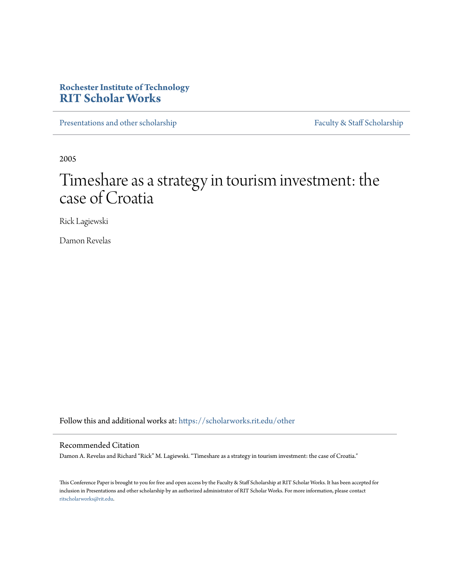# **Rochester Institute of Technology [RIT Scholar Works](https://scholarworks.rit.edu?utm_source=scholarworks.rit.edu%2Fother%2F593&utm_medium=PDF&utm_campaign=PDFCoverPages)**

[Presentations and other scholarship](https://scholarworks.rit.edu/other?utm_source=scholarworks.rit.edu%2Fother%2F593&utm_medium=PDF&utm_campaign=PDFCoverPages) [Faculty & Staff Scholarship](https://scholarworks.rit.edu/facstaff?utm_source=scholarworks.rit.edu%2Fother%2F593&utm_medium=PDF&utm_campaign=PDFCoverPages)

2005

# Timeshare as a strategy in tourism investment: the case of Croatia

Rick Lagiewski

Damon Revelas

Follow this and additional works at: [https://scholarworks.rit.edu/other](https://scholarworks.rit.edu/other?utm_source=scholarworks.rit.edu%2Fother%2F593&utm_medium=PDF&utm_campaign=PDFCoverPages)

## Recommended Citation

Damon A. Revelas and Richard "Rick" M. Lagiewski. "Timeshare as a strategy in tourism investment: the case of Croatia."

This Conference Paper is brought to you for free and open access by the Faculty & Staff Scholarship at RIT Scholar Works. It has been accepted for inclusion in Presentations and other scholarship by an authorized administrator of RIT Scholar Works. For more information, please contact [ritscholarworks@rit.edu](mailto:ritscholarworks@rit.edu).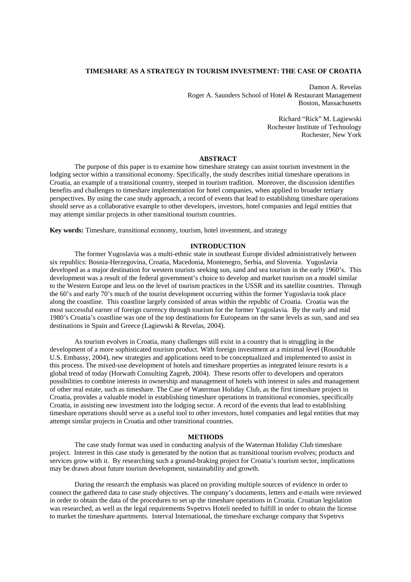#### **TIMESHARE AS A STRATEGY IN TOURISM INVESTMENT: THE CASE OF CROATIA**

Damon A. Revelas Roger A. Saunders School of Hotel & Restaurant Management Boston, Massachusetts

> Richard "Rick" M. Lagiewski Rochester Institute of Technology Rochester, New York

#### **ABSTRACT**

The purpose of this paper is to examine how timeshare strategy can assist tourism investment in the lodging sector within a transitional economy. Specifically, the study describes initial timeshare operations in Croatia, an example of a transitional country, steeped in tourism tradition. Moreover, the discussion identifies benefits and challenges to timeshare implementation for hotel companies, when applied to broader tertiary perspectives. By using the case study approach, a record of events that lead to establishing timeshare operations should serve as a collaborative example to other developers, investors, hotel companies and legal entities that may attempt similar projects in other transitional tourism countries.

**Key words:** Timeshare, transitional economy, tourism, hotel investment, and strategy

#### **INTRODUCTION**

The former Yugoslavia was a multi-ethnic state in southeast Europe divided administratively between six republics: Bosnia-Herzegovina, Croatia, Macedonia, Montenegro, Serbia, and Slovenia. Yugoslavia developed as a major destination for western tourists seeking sun, sand and sea tourism in the early 1960's. This development was a result of the federal government's choice to develop and market tourism on a model similar to the Western Europe and less on the level of tourism practices in the USSR and its satellite countries. Through the 60's and early 70's much of the tourist development occurring within the former Yugoslavia took place along the coastline. This coastline largely consisted of areas within the republic of Croatia. Croatia was the most successful earner of foreign currency through tourism for the former Yugoslavia. By the early and mid 1980's Croatia's coastline was one of the top destinations for Europeans on the same levels as sun, sand and sea destinations in Spain and Greece (Lagiewski & Revelas, 2004).

As tourism evolves in Croatia, many challenges still exist in a country that is struggling in the development of a more sophisticated tourism product. With foreign investment at a minimal level (Roundtable U.S. Embassy, 2004), new strategies and applications need to be conceptualized and implemented to assist in this process. The mixed-use development of hotels and timeshare properties as integrated leisure resorts is a global trend of today (Horwath Consulting Zagreb, 2004). These resorts offer to developers and operators possibilities to combine interests in ownership and management of hotels with interest in sales and management of other real estate, such as timeshare. The Case of Waterman Holiday Club, as the first timeshare project in Croatia, provides a valuable model in establishing timeshare operations in transitional economies, specifically Croatia, in assisting new investment into the lodging sector. A record of the events that lead to establishing timeshare operations should serve as a useful tool to other investors, hotel companies and legal entities that may attempt similar projects in Croatia and other transitional countries.

#### **METHODS**

The case study format was used in conducting analysis of the Waterman Holiday Club timeshare project. Interest in this case study is generated by the notion that as transitional tourism evolves; products and services grow with it. By researching such a ground-braking project for Croatia's tourism sector, implications may be drawn about future tourism development, sustainability and growth.

During the research the emphasis was placed on providing multiple sources of evidence in order to connect the gathered data to case study objectives. The company's documents, letters and e-mails were reviewed in order to obtain the data of the procedures to set up the timeshare operations in Croatia. Croatian legislation was researched, as well as the legal requirements Svpetrvs Hoteli needed to fulfill in order to obtain the license to market the timeshare apartments. Interval International, the timeshare exchange company that Svpetrvs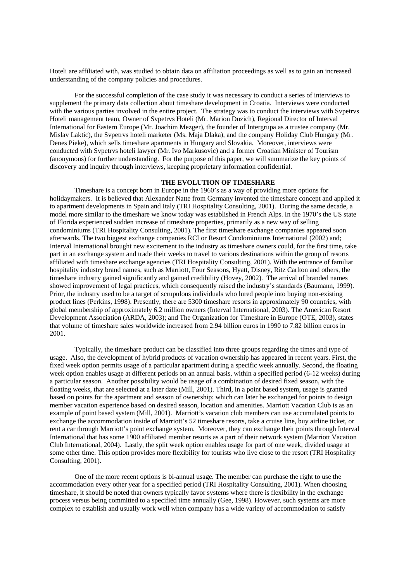Hoteli are affiliated with, was studied to obtain data on affiliation proceedings as well as to gain an increased understanding of the company policies and procedures.

For the successful completion of the case study it was necessary to conduct a series of interviews to supplement the primary data collection about timeshare development in Croatia. Interviews were conducted with the various parties involved in the entire project. The strategy was to conduct the interviews with Svpetrvs Hoteli management team, Owner of Svpetrvs Hoteli (Mr. Marion Duzich), Regional Director of Interval International for Eastern Europe (Mr. Joachim Mezger), the founder of Intergrupa as a trustee company (Mr. Mislav Laktic), the Svpetrvs hoteli marketer (Ms. Maja Dlaka), and the company Holiday Club Hungary (Mr. Denes Pieke), which sells timeshare apartments in Hungary and Slovakia. Moreover, interviews were conducted with Svpetrvs hoteli lawyer (Mr. Ivo Markusovic) and a former Croatian Minister of Tourism (anonymous) for further understanding. For the purpose of this paper, we will summarize the key points of discovery and inquiry through interviews, keeping proprietary information confidential.

#### **THE EVOLUTION OF TIMESHARE**

Timeshare is a concept born in Europe in the 1960's as a way of providing more options for holidaymakers. It is believed that Alexander Natte from Germany invented the timeshare concept and applied it to apartment developments in Spain and Italy (TRI Hospitality Consulting, 2001). During the same decade, a model more similar to the timeshare we know today was established in French Alps. In the 1970's the US state of Florida experienced sudden increase of timeshare properties, primarily as a new way of selling condominiums (TRI Hospitality Consulting, 2001). The first timeshare exchange companies appeared soon afterwards. The two biggest exchange companies RCI or Resort Condominiums International (2002) and; Interval International brought new excitement to the industry as timeshare owners could, for the first time, take part in an exchange system and trade their weeks to travel to various destinations within the group of resorts affiliated with timeshare exchange agencies (TRI Hospitality Consulting, 2001). With the entrance of familiar hospitality industry brand names, such as Marriott, Four Seasons, Hyatt, Disney, Ritz Carlton and others, the timeshare industry gained significantly and gained credibility (Hovey, 2002). The arrival of branded names showed improvement of legal practices, which consequently raised the industry's standards (Baumann, 1999). Prior, the industry used to be a target of scrupulous individuals who lured people into buying non-existing product lines (Perkins, 1998). Presently, there are 5300 timeshare resorts in approximately 90 countries, with global membership of approximately 6.2 million owners (Interval International, 2003). The American Resort Development Association (ARDA, 2003); and The Organization for Timeshare in Europe (OTE, 2003), states that volume of timeshare sales worldwide increased from 2.94 billion euros in 1990 to 7.82 billion euros in 2001.

Typically, the timeshare product can be classified into three groups regarding the times and type of usage. Also, the development of hybrid products of vacation ownership has appeared in recent years. First, the fixed week option permits usage of a particular apartment during a specific week annually. Second, the floating week option enables usage at different periods on an annual basis, within a specified period (6-12 weeks) during a particular season. Another possibility would be usage of a combination of desired fixed season, with the floating weeks, that are selected at a later date (Mill, 2001). Third, in a point based system, usage is granted based on points for the apartment and season of ownership; which can later be exchanged for points to design member vacation experience based on desired season, location and amenities. Marriott Vacation Club is as an example of point based system (Mill, 2001). Marriott's vacation club members can use accumulated points to exchange the accommodation inside of Marriott's 52 timeshare resorts, take a cruise line, buy airline ticket, or rent a car through Marriott's point exchange system. Moreover, they can exchange their points through Interval International that has some 1900 affiliated member resorts as a part of their network system (Marriott Vacation Club International, 2004). Lastly, the split week option enables usage for part of one week, divided usage at some other time. This option provides more flexibility for tourists who live close to the resort (TRI Hospitality Consulting, 2001).

One of the more recent options is bi-annual usage. The member can purchase the right to use the accommodation every other year for a specified period (TRI Hospitality Consulting, 2001). When choosing timeshare, it should be noted that owners typically favor systems where there is flexibility in the exchange process versus being committed to a specified time annually (Gee, 1998). However, such systems are more complex to establish and usually work well when company has a wide variety of accommodation to satisfy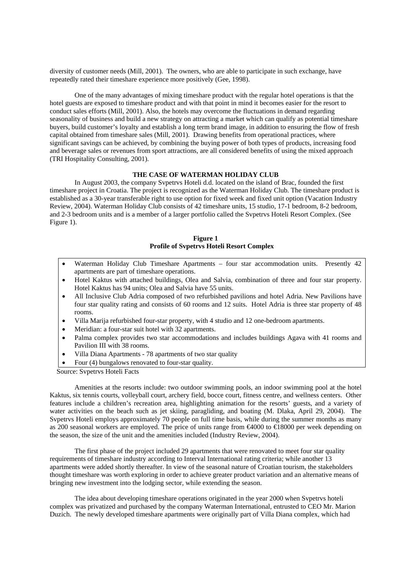diversity of customer needs (Mill, 2001). The owners, who are able to participate in such exchange, have repeatedly rated their timeshare experience more positively (Gee, 1998).

One of the many advantages of mixing timeshare product with the regular hotel operations is that the hotel guests are exposed to timeshare product and with that point in mind it becomes easier for the resort to conduct sales efforts (Mill, 2001). Also, the hotels may overcome the fluctuations in demand regarding seasonality of business and build a new strategy on attracting a market which can qualify as potential timeshare buyers, build customer's loyalty and establish a long term brand image, in addition to ensuring the flow of fresh capital obtained from timeshare sales (Mill, 2001). Drawing benefits from operational practices, where significant savings can be achieved, by combining the buying power of both types of products, increasing food and beverage sales or revenues from sport attractions, are all considered benefits of using the mixed approach (TRI Hospitality Consulting, 2001).

#### **THE CASE OF WATERMAN HOLIDAY CLUB**

In August 2003, the company Svpetrvs Hoteli d.d. located on the island of Brac, founded the first timeshare project in Croatia. The project is recognized as the Waterman Holiday Club. The timeshare product is established as a 30-year transferable right to use option for fixed week and fixed unit option (Vacation Industry Review, 2004). Waterman Holiday Club consists of 42 timeshare units, 15 studio, 17-1 bedroom, 8-2 bedroom, and 2-3 bedroom units and is a member of a larger portfolio called the Svpetrvs Hoteli Resort Complex. (See Figure 1).

### **Figure 1 Profile of Svpetrvs Hoteli Resort Complex**

- Waterman Holiday Club Timeshare Apartments four star accommodation units. Presently 42 apartments are part of timeshare operations.
- Hotel Kaktus with attached buildings, Olea and Salvia, combination of three and four star property. Hotel Kaktus has 94 units; Olea and Salvia have 55 units.
- All Inclusive Club Adria composed of two refurbished pavilions and hotel Adria. New Pavilions have four star quality rating and consists of 60 rooms and 12 suits. Hotel Adria is three star property of 48 rooms.
- Villa Marija refurbished four-star property, with 4 studio and 12 one-bedroom apartments.
- Meridian: a four-star suit hotel with 32 apartments.
- Palma complex provides two star accommodations and includes buildings Agava with 41 rooms and Pavilion III with 38 rooms.
- Villa Diana Apartments 78 apartments of two star quality
- Four (4) bungalows renovated to four-star quality.

Source: Svpetrvs Hoteli Facts

Amenities at the resorts include: two outdoor swimming pools, an indoor swimming pool at the hotel Kaktus, six tennis courts, volleyball court, archery field, bocce court, fitness centre, and wellness centers. Other features include a children's recreation area, highlighting animation for the resorts' guests, and a variety of water activities on the beach such as jet skiing, paragliding, and boating (M. Dlaka, April 29, 2004). The Svpetrvs Hoteli employs approximately 70 people on full time basis, while during the summer months as many as 200 seasonal workers are employed. The price of units range from €4000 to €18000 per week depending on the season, the size of the unit and the amenities included (Industry Review, 2004).

The first phase of the project included 29 apartments that were renovated to meet four star quality requirements of timeshare industry according to Interval International rating criteria; while another 13 apartments were added shortly thereafter. In view of the seasonal nature of Croatian tourism, the stakeholders thought timeshare was worth exploring in order to achieve greater product variation and an alternative means of bringing new investment into the lodging sector, while extending the season.

The idea about developing timeshare operations originated in the year 2000 when Svpetrvs hoteli complex was privatized and purchased by the company Waterman International, entrusted to CEO Mr. Marion Duzich. The newly developed timeshare apartments were originally part of Villa Diana complex, which had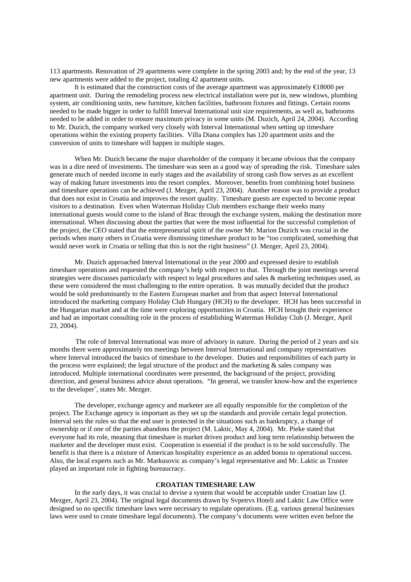113 apartments. Renovation of 29 apartments were complete in the spring 2003 and; by the end of the year, 13 new apartments were added to the project, totaling 42 apartment units.

It is estimated that the construction costs of the average apartment was approximately  $\in$  8000 per apartment unit. During the remodeling process new electrical installation were put in, new windows, plumbing system, air conditioning units, new furniture, kitchen facilities, bathroom fixtures and fittings. Certain rooms needed to be made bigger in order to fulfill Interval International unit size requirements, as well as, bathrooms needed to be added in order to ensure maximum privacy in some units (M. Duzich, April 24, 2004). According to Mr. Duzich, the company worked very closely with Interval International when setting up timeshare operations within the existing property facilities. Villa Diana complex has 120 apartment units and the conversion of units to timeshare will happen in multiple stages.

When Mr. Duzich became the major shareholder of the company it became obvious that the company was in a dire need of investments. The timeshare was seen as a good way of spreading the risk. Timeshare sales generate much of needed income in early stages and the availability of strong cash flow serves as an excellent way of making future investments into the resort complex. Moreover, benefits from combining hotel business and timeshare operations can be achieved (J. Mezger, April 23, 2004). Another reason was to provide a product that does not exist in Croatia and improves the resort quality. Timeshare guests are expected to become repeat visitors to a destination. Even when Waterman Holiday Club members exchange their weeks many international guests would come to the island of Brac through the exchange system, making the destination more international. When discussing about the parties that were the most influential for the successful completion of the project, the CEO stated that the entrepreneurial spirit of the owner Mr. Marion Duzich was crucial in the periods when many others in Croatia were dismissing timeshare product to be "too complicated, something that would never work in Croatia or telling that this is not the right business" (J. Mezger, April 23, 2004).

Mr. Duzich approached Interval International in the year 2000 and expressed desire to establish timeshare operations and requested the company's help with respect to that. Through the joint meetings several strategies were discusses particularly with respect to legal procedures and sales & marketing techniques used, as these were considered the most challenging to the entire operation. It was mutually decided that the product would be sold predominantly to the Eastern European market and from that aspect Interval International introduced the marketing company Holiday Club Hungary (HCH) to the developer. HCH has been successful in the Hungarian market and at the time were exploring opportunities in Croatia. HCH brought their experience and had an important consulting role in the process of establishing Waterman Holiday Club (J. Mezger, April 23, 2004).

 The role of Interval International was more of advisory in nature. During the period of 2 years and six months there were approximately ten meetings between Interval International and company representatives where Interval introduced the basics of timeshare to the developer. Duties and responsibilities of each party in the process were explained; the legal structure of the product and the marketing & sales company was introduced. Multiple international coordinates were presented, the background of the project, providing direction, and general business advice about operations. "In general, we transfer know-how and the experience to the developer˝, states Mr. Mezger.

The developer, exchange agency and marketer are all equally responsible for the completion of the project. The Exchange agency is important as they set up the standards and provide certain legal protection. Interval sets the rules so that the end user is protected in the situations such as bankruptcy, a change of ownership or if one of the parties abandons the project (M. Laktic, May 4, 2004). Mr. Pieke stated that everyone had its role, meaning that timeshare is market driven product and long term relationship between the marketer and the developer must exist. Cooperation is essential if the product is to be sold successfully. The benefit is that there is a mixture of American hospitality experience as an added bonus to operational success. Also, the local experts such as Mr. Markusovic as company's legal representative and Mr. Laktic as Trustee played an important role in fighting bureaucracy.

#### **CROATIAN TIMESHARE LAW**

In the early days, it was crucial to devise a system that would be acceptable under Croatian law (J. Mezger, April 23, 2004). The original legal documents drawn by Svpetrvs Hoteli and Laktic Law Office were designed so no specific timeshare laws were necessary to regulate operations. (E.g. various general businesses laws were used to create timeshare legal documents). The company's documents were written even before the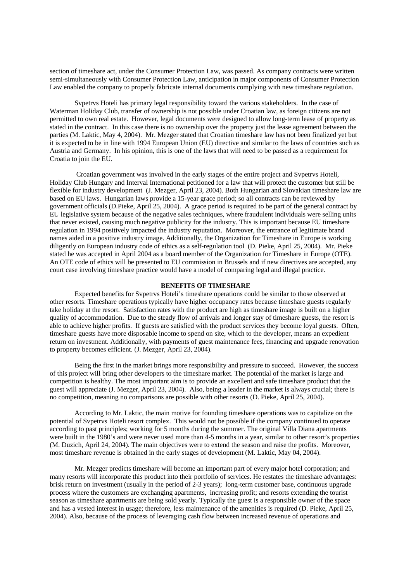section of timeshare act, under the Consumer Protection Law, was passed. As company contracts were written semi-simultaneously with Consumer Protection Law, anticipation in major components of Consumer Protection Law enabled the company to properly fabricate internal documents complying with new timeshare regulation.

Svpetrvs Hoteli has primary legal responsibility toward the various stakeholders. In the case of Waterman Holiday Club, transfer of ownership is not possible under Croatian law, as foreign citizens are not permitted to own real estate. However, legal documents were designed to allow long-term lease of property as stated in the contract. In this case there is no ownership over the property just the lease agreement between the parties (M. Laktic, May 4, 2004). Mr. Mezger stated that Croatian timeshare law has not been finalized yet but it is expected to be in line with 1994 European Union (EU) directive and similar to the laws of countries such as Austria and Germany. In his opinion, this is one of the laws that will need to be passed as a requirement for Croatia to join the EU.

 Croatian government was involved in the early stages of the entire project and Svpetrvs Hoteli, Holiday Club Hungary and Interval International petitioned for a law that will protect the customer but still be flexible for industry development (J. Mezger, April 23, 2004). Both Hungarian and Slovakian timeshare law are based on EU laws. Hungarian laws provide a 15-year grace period; so all contracts can be reviewed by government officials (D.Pieke, April 25, 2004). A grace period is required to be part of the general contract by EU legislative system because of the negative sales techniques, where fraudulent individuals were selling units that never existed, causing much negative publicity for the industry. This is important because EU timeshare regulation in 1994 positively impacted the industry reputation. Moreover, the entrance of legitimate brand names aided in a positive industry image. Additionally, the Organization for Timeshare in Europe is working diligently on European industry code of ethics as a self-regulation tool (D. Pieke, April 25, 2004). Mr. Pieke stated he was accepted in April 2004 as a board member of the Organization for Timeshare in Europe (OTE). An OTE code of ethics will be presented to EU commission in Brussels and if new directives are accepted, any court case involving timeshare practice would have a model of comparing legal and illegal practice.

#### **BENEFITS OF TIMESHARE**

Expected benefits for Svpetrvs Hoteli's timeshare operations could be similar to those observed at other resorts. Timeshare operations typically have higher occupancy rates because timeshare guests regularly take holiday at the resort. Satisfaction rates with the product are high as timeshare image is built on a higher quality of accommodation. Due to the steady flow of arrivals and longer stay of timeshare guests, the resort is able to achieve higher profits. If guests are satisfied with the product services they become loyal guests. Often, timeshare guests have more disposable income to spend on site, which to the developer, means an expedient return on investment. Additionally, with payments of guest maintenance fees, financing and upgrade renovation to property becomes efficient. (J. Mezger, April 23, 2004).

Being the first in the market brings more responsibility and pressure to succeed. However, the success of this project will bring other developers to the timeshare market. The potential of the market is large and competition is healthy. The most important aim is to provide an excellent and safe timeshare product that the guest will appreciate (J. Mezger, April 23, 2004). Also, being a leader in the market is always crucial; there is no competition, meaning no comparisons are possible with other resorts (D. Pieke, April 25, 2004).

According to Mr. Laktic, the main motive for founding timeshare operations was to capitalize on the potential of Svpetrvs Hoteli resort complex. This would not be possible if the company continued to operate according to past principles; working for 5 months during the summer. The original Villa Diana apartments were built in the 1980's and were never used more than 4-5 months in a year, similar to other resort's properties (M. Duzich, April 24, 2004). The main objectives were to extend the season and raise the profits. Moreover, most timeshare revenue is obtained in the early stages of development (M. Laktic, May 04, 2004).

Mr. Mezger predicts timeshare will become an important part of every major hotel corporation; and many resorts will incorporate this product into their portfolio of services. He restates the timeshare advantages: brisk return on investment (usually in the period of 2-3 years); long-term customer base, continuous upgrade process where the customers are exchanging apartments, increasing profit; and resorts extending the tourist season as timeshare apartments are being sold yearly. Typically the guest is a responsible owner of the space and has a vested interest in usage; therefore, less maintenance of the amenities is required (D. Pieke, April 25, 2004). Also, because of the process of leveraging cash flow between increased revenue of operations and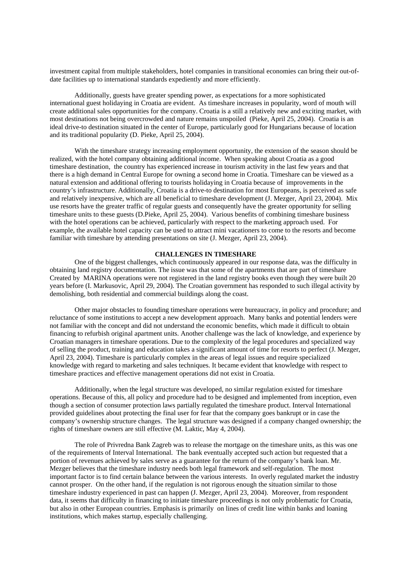investment capital from multiple stakeholders, hotel companies in transitional economies can bring their out-ofdate facilities up to international standards expediently and more efficiently.

Additionally, guests have greater spending power, as expectations for a more sophisticated international guest holidaying in Croatia are evident. As timeshare increases in popularity, word of mouth will create additional sales opportunities for the company. Croatia is a still a relatively new and exciting market, with most destinations not being overcrowded and nature remains unspoiled (Pieke, April 25, 2004). Croatia is an ideal drive-to destination situated in the center of Europe, particularly good for Hungarians because of location and its traditional popularity (D. Pieke, April 25, 2004).

With the timeshare strategy increasing employment opportunity, the extension of the season should be realized, with the hotel company obtaining additional income. When speaking about Croatia as a good timeshare destination, the country has experienced increase in tourism activity in the last few years and that there is a high demand in Central Europe for owning a second home in Croatia. Timeshare can be viewed as a natural extension and additional offering to tourists holidaying in Croatia because of improvements in the country's infrastructure. Additionally, Croatia is a drive-to destination for most Europeans, is perceived as safe and relatively inexpensive, which are all beneficial to timeshare development (J. Mezger, April 23, 2004). Mix use resorts have the greater traffic of regular guests and consequently have the greater opportunity for selling timeshare units to these guests (D.Pieke, April 25, 2004). Various benefits of combining timeshare business with the hotel operations can be achieved, particularly with respect to the marketing approach used. For example, the available hotel capacity can be used to attract mini vacationers to come to the resorts and become familiar with timeshare by attending presentations on site (J. Mezger, April 23, 2004).

#### **CHALLENGES IN TIMESHARE**

One of the biggest challenges, which continuously appeared in our response data, was the difficulty in obtaining land registry documentation. The issue was that some of the apartments that are part of timeshare Created by MARINA operations were not registered in the land registry books even though they were built 20 years before (I. Markusovic, April 29, 2004). The Croatian government has responded to such illegal activity by demolishing, both residential and commercial buildings along the coast.

Other major obstacles to founding timeshare operations were bureaucracy, in policy and procedure; and reluctance of some institutions to accept a new development approach. Many banks and potential lenders were not familiar with the concept and did not understand the economic benefits, which made it difficult to obtain financing to refurbish original apartment units. Another challenge was the lack of knowledge, and experience by Croatian managers in timeshare operations. Due to the complexity of the legal procedures and specialized way of selling the product, training and education takes a significant amount of time for resorts to perfect (J. Mezger, April 23, 2004). Timeshare is particularly complex in the areas of legal issues and require specialized knowledge with regard to marketing and sales techniques. It became evident that knowledge with respect to timeshare practices and effective management operations did not exist in Croatia.

Additionally, when the legal structure was developed, no similar regulation existed for timeshare operations. Because of this, all policy and procedure had to be designed and implemented from inception, even though a section of consumer protection laws partially regulated the timeshare product. Interval International provided guidelines about protecting the final user for fear that the company goes bankrupt or in case the company's ownership structure changes. The legal structure was designed if a company changed ownership; the rights of timeshare owners are still effective (M. Laktic, May 4, 2004).

The role of Privredna Bank Zagreb was to release the mortgage on the timeshare units, as this was one of the requirements of Interval International. The bank eventually accepted such action but requested that a portion of revenues achieved by sales serve as a guarantee for the return of the company's bank loan. Mr. Mezger believes that the timeshare industry needs both legal framework and self-regulation. The most important factor is to find certain balance between the various interests. In overly regulated market the industry cannot prosper. On the other hand, if the regulation is not rigorous enough the situation similar to those timeshare industry experienced in past can happen (J. Mezger, April 23, 2004). Moreover, from respondent data, it seems that difficulty in financing to initiate timeshare proceedings is not only problematic for Croatia, but also in other European countries. Emphasis is primarily on lines of credit line within banks and loaning institutions, which makes startup, especially challenging.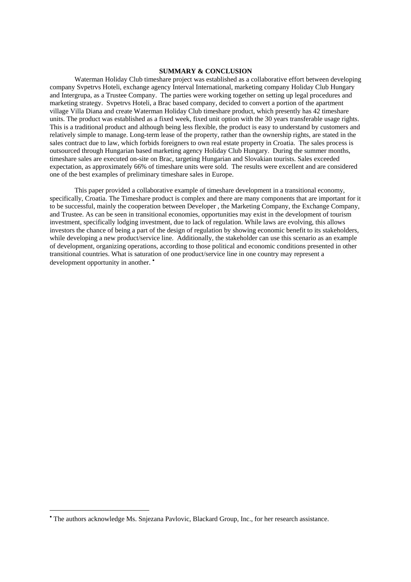#### **SUMMARY & CONCLUSION**

Waterman Holiday Club timeshare project was established as a collaborative effort between developing company Svpetrvs Hoteli, exchange agency Interval International, marketing company Holiday Club Hungary and Intergrupa, as a Trustee Company. The parties were working together on setting up legal procedures and marketing strategy. Svpetrvs Hoteli, a Brac based company, decided to convert a portion of the apartment village Villa Diana and create Waterman Holiday Club timeshare product, which presently has 42 timeshare units. The product was established as a fixed week, fixed unit option with the 30 years transferable usage rights. This is a traditional product and although being less flexible, the product is easy to understand by customers and relatively simple to manage. Long-term lease of the property, rather than the ownership rights, are stated in the sales contract due to law, which forbids foreigners to own real estate property in Croatia. The sales process is outsourced through Hungarian based marketing agency Holiday Club Hungary. During the summer months, timeshare sales are executed on-site on Brac, targeting Hungarian and Slovakian tourists. Sales exceeded expectation, as approximately 66% of timeshare units were sold. The results were excellent and are considered one of the best examples of preliminary timeshare sales in Europe.

This paper provided a collaborative example of timeshare development in a transitional economy, specifically, Croatia. The Timeshare product is complex and there are many components that are important for it to be successful, mainly the cooperation between Developer , the Marketing Company, the Exchange Company, and Trustee. As can be seen in transitional economies, opportunities may exist in the development of tourism investment, specifically lodging investment, due to lack of regulation. While laws are evolving, this allows investors the chance of being a part of the design of regulation by showing economic benefit to its stakeholders, while developing a new product/service line. Additionally, the stakeholder can use this scenario as an example of development, organizing operations, according to those political and economic conditions presented in other transitional countries. What is saturation of one product/service line in one country may represent a development opportunity in another. •

 $\overline{a}$ 

<sup>•</sup> The authors acknowledge Ms. Snjezana Pavlovic, Blackard Group, Inc., for her research assistance.